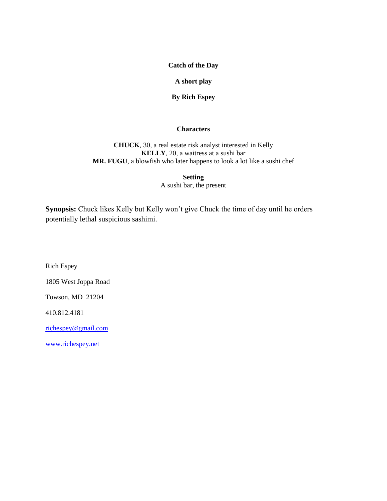**Catch of the Day**

# **A short play**

**By Rich Espey**

# **Characters**

**CHUCK**, 30, a real estate risk analyst interested in Kelly **KELLY**, 20, a waitress at a sushi bar **MR. FUGU**, a blowfish who later happens to look a lot like a sushi chef

> **Setting** A sushi bar, the present

**Synopsis:** Chuck likes Kelly but Kelly won't give Chuck the time of day until he orders potentially lethal suspicious sashimi.

Rich Espey

1805 West Joppa Road

Towson, MD 21204

410.812.4181

[richespey@gmail.com](mailto:richespey@gmail.com)

[www.richespey.net](http://www.richespey.net/)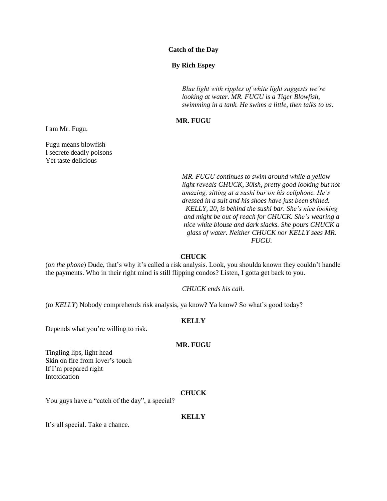#### **Catch of the Day**

# **By Rich Espey**

*Blue light with ripples of white light suggests we're looking at water. MR. FUGU is a Tiger Blowfish, swimming in a tank. He swims a little, then talks to us.*

# **MR. FUGU**

I am Mr. Fugu.

Fugu means blowfish I secrete deadly poisons Yet taste delicious

> *MR. FUGU continues to swim around while a yellow light reveals CHUCK, 30ish, pretty good looking but not amazing, sitting at a sushi bar on his cellphone. He's dressed in a suit and his shoes have just been shined. KELLY, 20, is behind the sushi bar. She's nice looking and might be out of reach for CHUCK. She's wearing a nice white blouse and dark slacks. She pours CHUCK a glass of water. Neither CHUCK nor KELLY sees MR. FUGU.*

#### **CHUCK**

(*on the phone*) Dude, that's why it's called a risk analysis. Look, you shoulda known they couldn't handle the payments. Who in their right mind is still flipping condos? Listen, I gotta get back to you.

*CHUCK ends his call.*

(*to KELLY*) Nobody comprehends risk analysis, ya know? Ya know? So what's good today?

#### **KELLY**

Depends what you're willing to risk.

# **MR. FUGU**

Tingling lips, light head Skin on fire from lover's touch If I'm prepared right Intoxication

# **CHUCK**

You guys have a "catch of the day", a special?

#### **KELLY**

It's all special. Take a chance.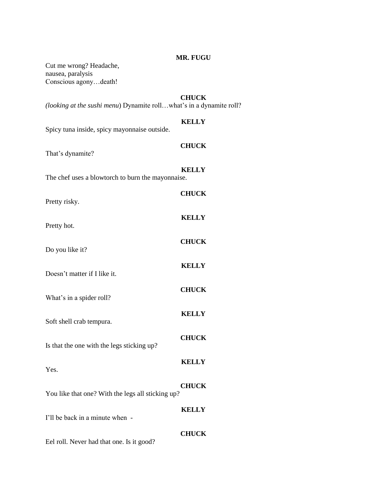# **MR. FUGU**

Cut me wrong? Headache, nausea, paralysis Conscious agony…death!

# **CHUCK**

*(looking at the sushi menu*) Dynamite roll…what's in a dynamite roll?

#### **KELLY**

Spicy tuna inside, spicy mayonnaise outside.

# **CHUCK**

That's dynamite?

**KELLY** The chef uses a blowtorch to burn the mayonnaise.

| Pretty risky.                                     | <b>CHUCK</b> |
|---------------------------------------------------|--------------|
| Pretty hot.                                       | <b>KELLY</b> |
| Do you like it?                                   | <b>CHUCK</b> |
|                                                   | <b>KELLY</b> |
| Doesn't matter if I like it.                      | <b>CHUCK</b> |
| What's in a spider roll?                          | <b>KELLY</b> |
| Soft shell crab tempura.                          | <b>CHUCK</b> |
| Is that the one with the legs sticking up?        | <b>KELLY</b> |
| Yes.                                              | <b>CHUCK</b> |
| You like that one? With the legs all sticking up? |              |
| I'll be back in a minute when -                   | <b>KELLY</b> |
|                                                   | <b>CHUCK</b> |

Eel roll. Never had that one. Is it good?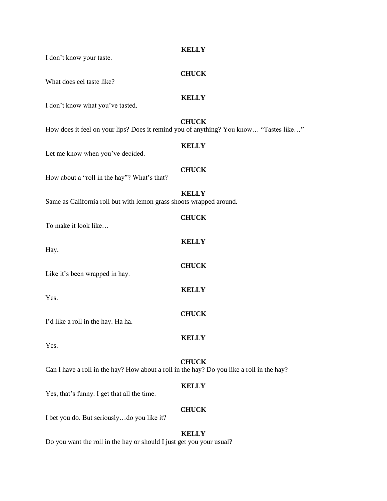| I don't know your taste.                                                                  | <b>KELLY</b> |
|-------------------------------------------------------------------------------------------|--------------|
| What does eel taste like?                                                                 | <b>CHUCK</b> |
| I don't know what you've tasted.                                                          | <b>KELLY</b> |
| How does it feel on your lips? Does it remind you of anything? You know "Tastes like"     | <b>CHUCK</b> |
| Let me know when you've decided.                                                          | <b>KELLY</b> |
| How about a "roll in the hay"? What's that?                                               | <b>CHUCK</b> |
| Same as California roll but with lemon grass shoots wrapped around.                       | <b>KELLY</b> |
| To make it look like                                                                      | <b>CHUCK</b> |
| Hay.                                                                                      | <b>KELLY</b> |
| Like it's been wrapped in hay.                                                            | <b>CHUCK</b> |
| Yes.                                                                                      | <b>KELLY</b> |
| I'd like a roll in the hay. Ha ha.                                                        | <b>CHUCK</b> |
| Yes.                                                                                      | <b>KELLY</b> |
| Can I have a roll in the hay? How about a roll in the hay? Do you like a roll in the hay? | <b>CHUCK</b> |
| Yes, that's funny. I get that all the time.                                               | <b>KELLY</b> |
| I bet you do. But seriouslydo you like it?                                                | <b>CHUCK</b> |
| Do you want the roll in the hay or should I just get you your usual?                      | <b>KELLY</b> |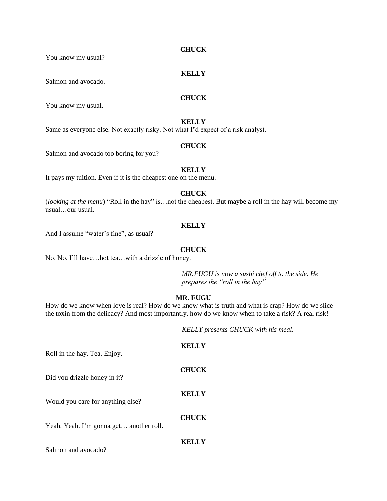**CHUCK**

You know my usual?

Salmon and avocado.

# **CHUCK**

**KELLY**

You know my usual.

# **KELLY**

Same as everyone else. Not exactly risky. Not what I'd expect of a risk analyst.

# **CHUCK**

Salmon and avocado too boring for you?

#### **KELLY**

It pays my tuition. Even if it is the cheapest one on the menu.

#### **CHUCK**

(*looking at the menu*) "Roll in the hay" is…not the cheapest. But maybe a roll in the hay will become my usual…our usual.

# **KELLY**

And I assume "water's fine", as usual?

#### **CHUCK**

No. No, I'll have…hot tea…with a drizzle of honey.

*MR.FUGU is now a sushi chef off to the side. He prepares the "roll in the hay"*

# **MR. FUGU**

How do we know when love is real? How do we know what is truth and what is crap? How do we slice the toxin from the delicacy? And most importantly, how do we know when to take a risk? A real risk!

*KELLY presents CHUCK with his meal.*

| Roll in the hay. Tea. Enjoy.            | <b>KELLY</b> |
|-----------------------------------------|--------------|
| Did you drizzle honey in it?            | <b>CHUCK</b> |
| Would you care for anything else?       | <b>KELLY</b> |
| Yeah. Yeah. I'm gonna get another roll. | <b>CHUCK</b> |
| Salmon and avocado?                     | <b>KELLY</b> |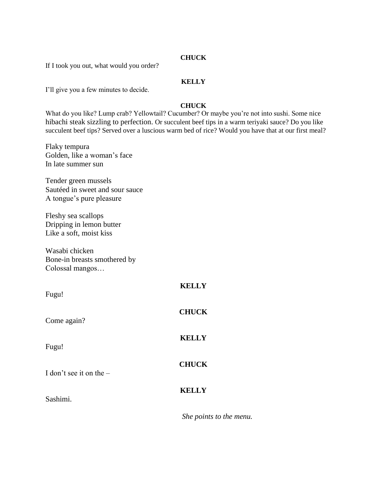# **CHUCK**

If I took you out, what would you order?

# **KELLY**

I'll give you a few minutes to decide.

# **CHUCK**

What do you like? Lump crab? Yellowtail? Cucumber? Or maybe you're not into sushi. Some nice hibachi steak sizzling to perfection. Or succulent beef tips in a warm teriyaki sauce? Do you like succulent beef tips? Served over a luscious warm bed of rice? Would you have that at our first meal?

Flaky tempura Golden, like a woman's face In late summer sun

Tender green mussels Sautéed in sweet and sour sauce A tongue's pure pleasure

Fleshy sea scallops Dripping in lemon butter Like a soft, moist kiss

Wasabi chicken Bone-in breasts smothered by Colossal mangos…

| Fugu!                     | <b>KELLY</b> |
|---------------------------|--------------|
| Come again?               | <b>CHUCK</b> |
| Fugu!                     | <b>KELLY</b> |
| I don't see it on the $-$ | <b>CHUCK</b> |
| Sashimi.                  | <b>KELLY</b> |

*She points to the menu.*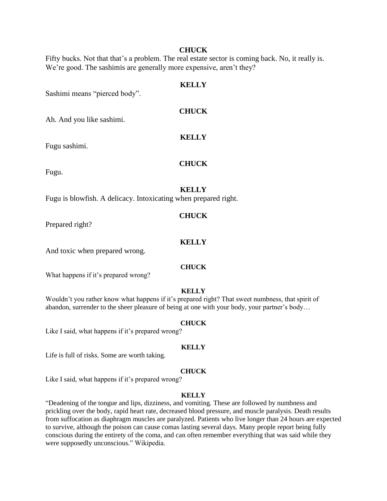# **CHUCK**

Fifty bucks. Not that that's a problem. The real estate sector is coming back. No, it really is. We're good. The sashimis are generally more expensive, aren't they?

# **KELLY**

**CHUCK**

**KELLY**

**CHUCK**

Sashimi means "pierced body".

Ah. And you like sashimi.

Fugu sashimi.

Fugu.

# **KELLY**

Fugu is blowfish. A delicacy. Intoxicating when prepared right.

#### **CHUCK**

Prepared right?

#### **KELLY**

And toxic when prepared wrong.

#### **CHUCK**

What happens if it's prepared wrong?

#### **KELLY**

Wouldn't you rather know what happens if it's prepared right? That sweet numbness, that spirit of abandon, surrender to the sheer pleasure of being at one with your body, your partner's body…

# **CHUCK**

Like I said, what happens if it's prepared wrong?

#### **KELLY**

Life is full of risks. Some are worth taking.

#### **CHUCK**

Like I said, what happens if it's prepared wrong?

#### **KELLY**

"Deadening of the tongue and lips, dizziness, and vomiting. These are followed by numbness and prickling over the body, rapid heart rate, decreased blood pressure, and muscle paralysis. Death results from suffocation as diaphragm muscles are paralyzed. Patients who live longer than 24 hours are expected to survive, although the poison can cause comas lasting several days. Many people report being fully conscious during the entirety of the coma, and can often remember everything that was said while they were supposedly unconscious." Wikipedia.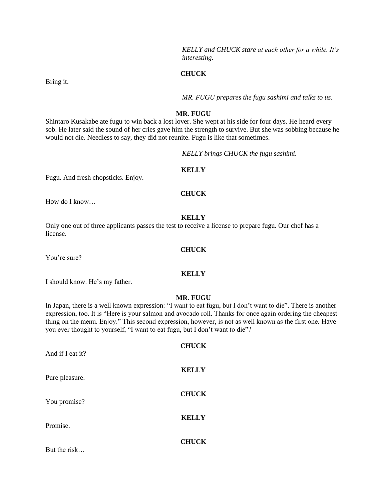*KELLY and CHUCK stare at each other for a while. It's interesting.*

#### **CHUCK**

*MR. FUGU prepares the fugu sashimi and talks to us.*

#### **MR. FUGU**

Shintaro Kusakabe ate fugu to win back a lost lover. She wept at his side for four days. He heard every sob. He later said the sound of her cries gave him the strength to survive. But she was sobbing because he would not die. Needless to say, they did not reunite. Fugu is like that sometimes.

*KELLY brings CHUCK the fugu sashimi.*

#### **KELLY**

Fugu. And fresh chopsticks. Enjoy.

#### **CHUCK**

How do I know…

#### **KELLY**

**CHUCK**

**KELLY**

Only one out of three applicants passes the test to receive a license to prepare fugu. Our chef has a license.

You're sure?

I should know. He's my father.

#### **MR. FUGU**

In Japan, there is a well known expression: "I want to eat fugu, but I don't want to die". There is another expression, too. It is "Here is your salmon and avocado roll. Thanks for once again ordering the cheapest thing on the menu. Enjoy." This second expression, however, is not as well known as the first one. Have you ever thought to yourself, "I want to eat fugu, but I don't want to die"?

| And if I eat it? | <b>CHUCK</b> |
|------------------|--------------|
| Pure pleasure.   | <b>KELLY</b> |
| You promise?     | <b>CHUCK</b> |
| Promise.         | <b>KELLY</b> |
| But the risk     | <b>CHUCK</b> |

#### Bring it.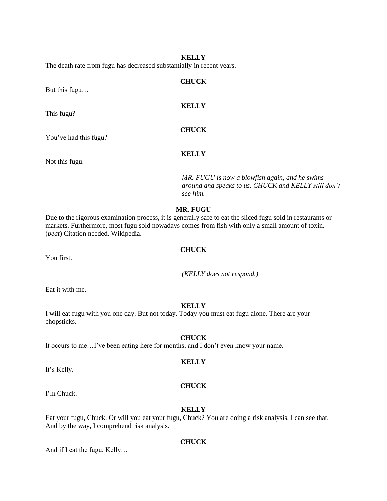**KELLY** The death rate from fugu has decreased substantially in recent years.

| But this fugu         | <b>CHUCK</b>                                                           |
|-----------------------|------------------------------------------------------------------------|
| This fugu?            | <b>KELLY</b>                                                           |
| You've had this fugu? | <b>CHUCK</b>                                                           |
| Not this fugu.        | <b>KELLY</b>                                                           |
|                       | MR. FUGU is now a blowfish again<br>around and speaks to us $CHI/CK$ a |

*MR. FUGU is now a blowfish again, and he swims around and speaks to us. CHUCK and KELLY still don't see him.*

# **MR. FUGU**

Due to the rigorous examination process, it is generally safe to eat the sliced fugu sold in restaurants or markets. Furthermore, most fugu sold nowadays comes from fish with only a small amount of toxin. (*beat*) Citation needed. Wikipedia.

#### **CHUCK**

You first.

*(KELLY does not respond.)*

Eat it with me.

# **KELLY**

I will eat fugu with you one day. But not today. Today you must eat fugu alone. There are your chopsticks.

# **CHUCK**

It occurs to me…I've been eating here for months, and I don't even know your name.

# **KELLY**

It's Kelly.

# **CHUCK**

I'm Chuck.

#### **KELLY**

Eat your fugu, Chuck. Or will you eat your fugu, Chuck? You are doing a risk analysis. I can see that. And by the way, I comprehend risk analysis.

# **CHUCK**

And if I eat the fugu, Kelly…